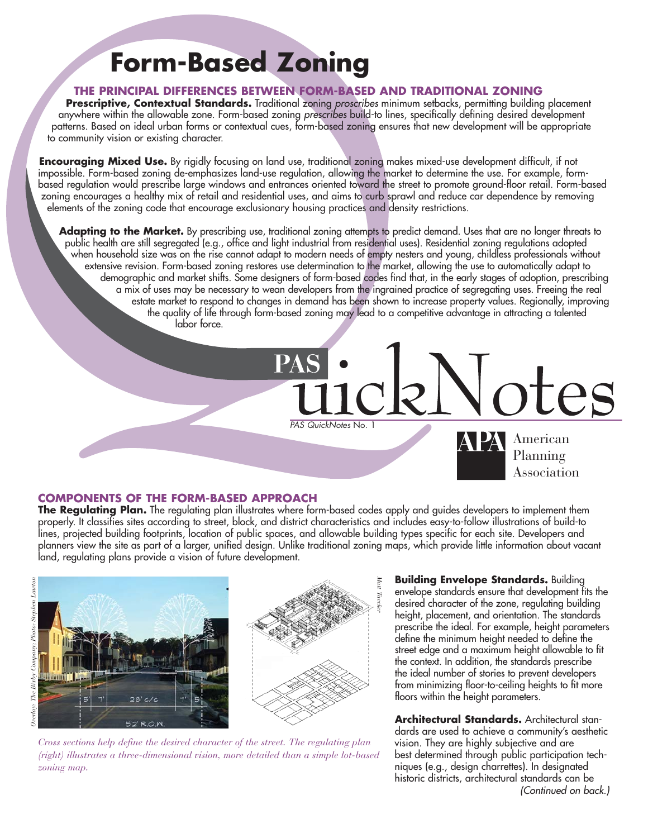## **Form-Based Zoning**

#### **THE PRINCIPAL DIFFERENCES BETWEEN FORM-BASED AND TRADITIONAL ZONING**

**Prescriptive, Contextual Standards.** Traditional zoning proscribes minimum setbacks, permitting building placement anywhere within the allowable zone. Form-based zoning prescribes build-to lines, specifically defining desired development patterns. Based on ideal urban forms or contextual cues, form-based zoning ensures that new development will be appropriate to community vision or existing character.

**Encouraging Mixed Use.** By rigidly focusing on land use, traditional zoning makes mixed-use development difficult, if not impossible. Form-based zoning de-emphasizes land-use regulation, allowing the market to determine the use. For example, formbased regulation would prescribe large windows and entrances oriented toward the street to promote ground-floor retail. Form-based zoning encourages a healthy mix of retail and residential uses, and aims to curb sprawl and reduce car dependence by removing elements of the zoning code that encourage exclusionary housing practices and density restrictions.

**Adapting to the Market.** By prescribing use, traditional zoning attempts to predict demand. Uses that are no longer threats to public health are still segregated (e.g., office and light industrial from residential uses). Residential zoning regulations adopted when household size was on the rise cannot adapt to modern needs of empty nesters and young, childless professionals without extensive revision. Form-based zoning restores use determination to the market, allowing the use to automatically adapt to demographic and market shifts. Some designers of form-based codes find that, in the early stages of adoption, prescribing a mix of uses may be necessary to wean developers from the ingrained practice of segregating uses. Freeing the real estate market to respond to changes in demand has been shown to increase property values. Regionally, improving the quality of life through form-based zoning may lead to a competitive advantage in attracting a talented labor force.

#### **COMPONENTS OF THE FORM-BASED APPROACH**

**The Regulating Plan.** The regulating plan illustrates where form-based codes apply and guides developers to implement them properly. It classifies sites according to street, block, and district characteristics and includes easy-to-follow illustrations of build-to lines, projected building footprints, location of public spaces, and allowable building types specific for each site. Developers and planners view the site as part of a larger, unified design. Unlike traditional zoning maps, which provide little information about vacant land, regulating plans provide a vision of future development.

PAS QuickNotes No. 1





*Cross sections help define the desired character of the street. The regulating plan (right) illustrates a three-dimensional vision, more detailed than a simple lot-based zoning map.*

**Building Envelope Standards.** Building envelope standards ensure that development fits the desired character of the zone, regulating building height, placement, and orientation. The standards prescribe the ideal. For example, height parameters define the minimum height needed to define the street edge and a maximum height allowable to fit the context. In addition, the standards prescribe the ideal number of stories to prevent developers from minimizing floor-to-ceiling heights to fit more floors within the height parameters.

American Planning Association

**Architectural Standards.** Architectural standards are used to achieve a community's aesthetic vision. They are highly subjective and are best determined through public participation techniques (e.g., design charrettes). In designated historic districts, architectural standards can be (Continued on back.)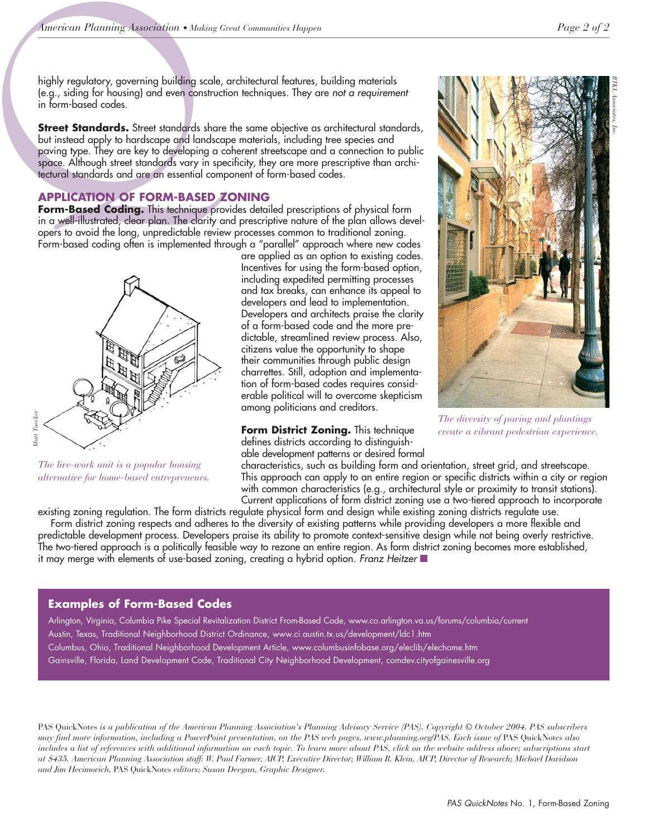highly regulatory, governing building scale, architectural features, building materials (e.g., siding for housing) and even construction techniques. They are not a requirement in form-based codes.

**Street Standards.** Street standards share the same objective as architectural standards, but instead apply to hardscape and landscape materials, including tree species and paving type. They are key to developing a coherent streetscape and a connection to public space. Although street standards vary in specificity, they are more prescriptive than architectural standards and are an essential component of form-based codes.

#### **APPLICATION OF FORM-BASED ZONING**

**Form-Based Coding.** This technique provides detailed prescriptions of physical form in a well-illustrated, clear plan. The clarity and prescriptive nature of the plan allows developers to avoid the long, unpredictable review processes common to traditional zoning. Form-based coding often is implemented through a "parallel" approach where new codes



*The live-work unit is a popular housing alternative for home-based entrepreneurs.*

are applied as an option to existing codes. Incentives for using the form-based option, including expedited permitting processes and tax breaks, can enhance its appeal to developers and lead to implementation. Developers and architects praise the clarity of a form-based code and the more predictable, streamlined review process. Also, citizens value the opportunity to shape their communities through public design charrettes. Still, adoption and implementation of form-based codes requires considerable political will to overcome skepticism among politicians and creditors.

**Form District Zoning.** This technique defines districts according to distinguishable development patterns or desired formal



*The diversity of paving and plantings create a vibrant pedestrian experience.*

characteristics, such as building form and orientation, street grid, and streetscape. This approach can apply to an entire region or specific districts within a city or region with common characteristics (e.g., architectural style or proximity to transit stations). Current applications of form district zoning use a two-tiered approach to incorporate

existing zoning regulation. The form districts regulate physical form and design while existing zoning districts regulate use.

Form district zoning respects and adheres to the diversity of existing patterns while providing developers a more flexible and predictable development process. Developers praise its ability to promote context-sensitive design while not being overly restrictive. The two-tiered approach is a politically feasible way to rezone an entire region. As form district zoning becomes more established, it may merge with elements of use-based zoning, creating a hybrid option. Franz Heitzer ■

#### **Examples of Form-Based Codes**

Arlington, Virginia, Columbia Pike Special Revitalization District From-Based Code, www.co.arlington.va.us/forums/columbia/current Austin, Texas, Traditional Neighborhood District Ordinance, www.ci.austin.tx.us/development/ldc1.htm Columbus, Ohio, Traditional Neighborhood Development Article, www.columbusinfobase.org/eleclib/elechome.htm Gainsville, Florida, Land Development Code, Traditional City Neighborhood Development, comdev.cityofgainesville.org

PAS QuickNotes *is a publication of the American Planning Association's Planning Advisory Service (PAS). Copyright © October 2004. PAS subscribers may find more information, including a PowerPoint presentation, on the PAS web pages, www.planning.org/PAS. Each issue of* PAS QuickNotes *also includes a list of references with additional information on each topic. To learn more about PAS, click on the website address above; subscriptions start at \$435. American Planning Association staff: W. Paul Farmer, AICP, Executive Director; William R. Klein, AICP, Director of Research; Michael Davidson and Jim Hecimovich,* PAS QuickNotes *editors; Susan Deegan, Graphic Designer.*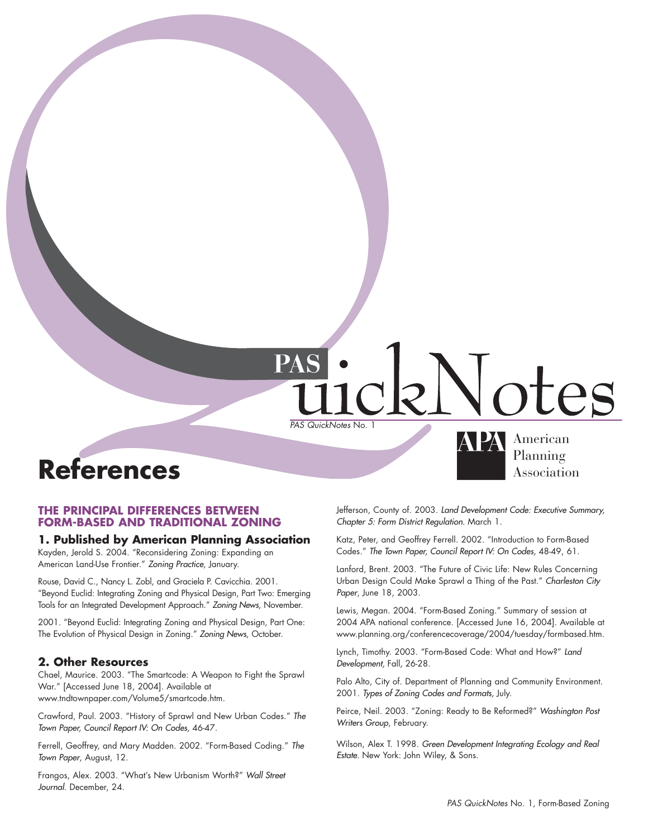# PAS QuickNotes No. 1

### **References** Association

#### **THE PRINCIPAL DIFFERENCES BETWEEN FORM-BASED AND TRADITIONAL ZONING**

#### **1. Published by American Planning Association**

Kayden, Jerold S. 2004. "Reconsidering Zoning: Expanding an American Land-Use Frontier." Zoning Practice, January.

Rouse, David C., Nancy L. Zobl, and Graciela P. Cavicchia. 2001. "Beyond Euclid: Integrating Zoning and Physical Design, Part Two: Emerging Tools for an Integrated Development Approach." Zoning News, November.

2001. "Beyond Euclid: Integrating Zoning and Physical Design, Part One: The Evolution of Physical Design in Zoning." Zoning News, October.

#### **2. Other Resources**

Chael, Maurice. 2003. "The Smartcode: A Weapon to Fight the Sprawl War." [Accessed June 18, 2004]. Available at www.tndtownpaper.com/Volume5/smartcode.htm.

Crawford, Paul. 2003. "History of Sprawl and New Urban Codes." The Town Paper, Council Report IV: On Codes, 46-47.

Ferrell, Geoffrey, and Mary Madden. 2002. "Form-Based Coding." The Town Paper, August, 12.

Frangos, Alex. 2003. "What's New Urbanism Worth?" Wall Street Journal. December, 24.

Jefferson, County of. 2003. Land Development Code: Executive Summary, Chapter 5: Form District Regulation. March 1.

American<br>Planning

Katz, Peter, and Geoffrey Ferrell. 2002. "Introduction to Form-Based Codes." The Town Paper, Council Report IV: On Codes, 48-49, 61.

Lanford, Brent. 2003. "The Future of Civic Life: New Rules Concerning Urban Design Could Make Sprawl a Thing of the Past." Charleston City Paper, June 18, 2003.

Lewis, Megan. 2004. "Form-Based Zoning." Summary of session at 2004 APA national conference. [Accessed June 16, 2004]. Available at www.planning.org/conferencecoverage/2004/tuesday/formbased.htm.

Lynch, Timothy. 2003. "Form-Based Code: What and How?" Land Development, Fall, 26-28.

Palo Alto, City of. Department of Planning and Community Environment. 2001. Types of Zoning Codes and Formats, July.

Peirce, Neil. 2003. "Zoning: Ready to Be Reformed?" Washington Post Writers Group, February.

Wilson, Alex T. 1998. Green Development Integrating Ecology and Real Estate. New York: John Wiley, & Sons.